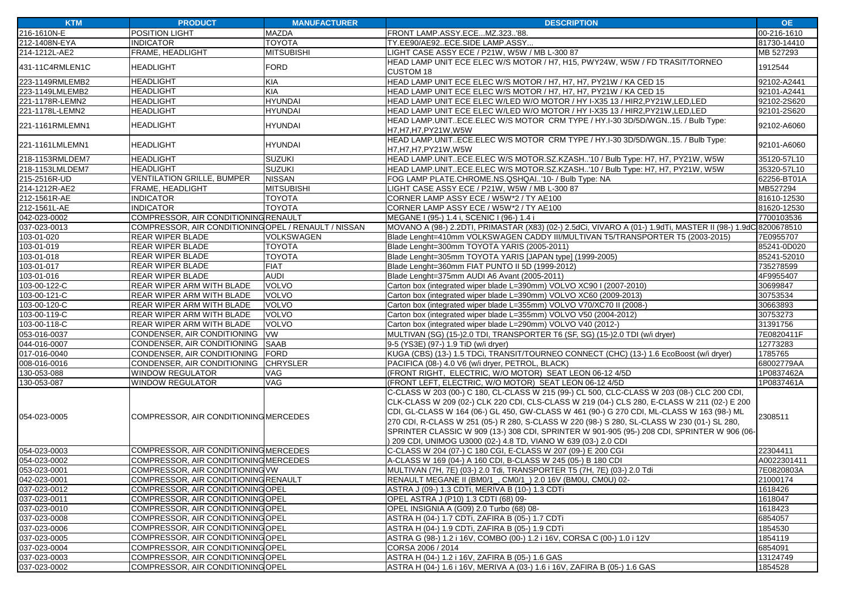| <b>KTM</b>      | <b>PRODUCT</b>                                       | <b>MANUFACTURER</b> | <b>DESCRIPTION</b>                                                                                                                                                                        | <b>OE</b>   |
|-----------------|------------------------------------------------------|---------------------|-------------------------------------------------------------------------------------------------------------------------------------------------------------------------------------------|-------------|
| 216-1610N-E     | POSITION LIGHT                                       | <b>MAZDA</b>        | FRONT LAMP.ASSY.ECEMZ.323'88.                                                                                                                                                             | 00-216-1610 |
| 212-1408N-EYA   | <b>INDICATOR</b>                                     | <b>TOYOTA</b>       | TY.EE90/AE92ECE.SIDE LAMP.ASSY                                                                                                                                                            | 81730-14410 |
| 214-1212L-AE2   | FRAME, HEADLIGHT                                     | <b>MITSUBISHI</b>   | LIGHT CASE ASSY ECE / P21W, W5W / MB L-300 87                                                                                                                                             | MB 527293   |
| 431-11C4RMLEN1C | <b>HEADLIGHT</b>                                     | <b>FORD</b>         | HEAD LAMP UNIT ECE ELEC W/S MOTOR / H7, H15, PWY24W, W5W / FD TRASIT/TORNEO                                                                                                               | 1912544     |
|                 |                                                      |                     | <b>CUSTOM 18</b>                                                                                                                                                                          |             |
| 223-1149RMLEMB2 | <b>HEADLIGHT</b>                                     | KIA                 | HEAD LAMP UNIT ECE ELEC W/S MOTOR / H7, H7, H7, PY21W / KA CED 15                                                                                                                         | 92102-A2441 |
| 223-1149LMLEMB2 | <b>HEADLIGHT</b>                                     | <b>KIA</b>          | HEAD LAMP UNIT ECE ELEC W/S MOTOR / H7, H7, H7, PY21W / KA CED 15                                                                                                                         | 92101-A2441 |
| 221-1178R-LEMN2 | <b>HEADLIGHT</b>                                     | <b>HYUNDAI</b>      | HEAD LAMP UNIT ECE ELEC W/LED W/O MOTOR / HY I-X35 13 / HIR2, PY21W, LED, LED                                                                                                             | 92102-2S620 |
| 221-1178L-LEMN2 | <b>HEADLIGHT</b>                                     | <b>HYUNDAI</b>      | HEAD LAMP UNIT ECE ELEC W/LED W/O MOTOR / HY I-X35 13 / HIR2, PY21W, LED, LED                                                                                                             | 92101-2S620 |
| 221-1161RMLEMN1 | <b>HEADLIGHT</b>                                     | <b>HYUNDAI</b>      | HEAD LAMP.UNITECE.ELEC W/S MOTOR CRM TYPE / HY.I-30 3D/5D/WGN15. / Bulb Type:<br>H7, H7, H7, PY21W, W5W                                                                                   | 92102-A6060 |
| 221-1161LMLEMN1 | <b>HEADLIGHT</b>                                     | <b>HYUNDAI</b>      | HEAD LAMP.UNITECE.ELEC W/S MOTOR CRM TYPE / HY.I-30 3D/5D/WGN15. / Bulb Type:<br>H7,H7,H7,PY21W,W5W                                                                                       | 92101-A6060 |
| 218-1153RMLDEM7 | <b>HEADLIGHT</b>                                     | <b>SUZUKI</b>       | HEAD LAMP.UNITECE.ELEC W/S MOTOR.SZ.KZASH'10 / Bulb Type: H7, H7, PY21W, W5W                                                                                                              | 35120-57L10 |
| 218-1153LMLDEM7 | <b>HEADLIGHT</b>                                     | <b>SUZUKI</b>       | HEAD LAMP.UNITECE.ELEC W/S MOTOR.SZ.KZASH'10 / Bulb Type: H7, H7, PY21W, W5W                                                                                                              | 35320-57L10 |
| 215-2516R-UD    | <b>VENTILATION GRILLE, BUMPER</b>                    | <b>NISSAN</b>       | FOG LAMP PLATE.CHROME.NS.QSHQAI'10- / Bulb Type: NA                                                                                                                                       | 62256-BT01A |
| 214-1212R-AE2   | FRAME, HEADLIGHT                                     | <b>MITSUBISHI</b>   | LIGHT CASE ASSY ECE / P21W, W5W / MB L-300 87                                                                                                                                             | MB527294    |
| 212-1561R-AE    | <b>INDICATOR</b>                                     | <b>TOYOTA</b>       | CORNER LAMP ASSY ECE / W5W*2 / TY AE100                                                                                                                                                   | 81610-12530 |
| 212-1561L-AE    | <b>INDICATOR</b>                                     | <b>TOYOTA</b>       | CORNER LAMP ASSY ECE / W5W*2 / TY AE100                                                                                                                                                   | 81620-12530 |
| 042-023-0002    | COMPRESSOR, AIR CONDITIONING RENAULT                 |                     | MEGANE I (95-) 1.4 i, SCENIC I (96-) 1.4 i                                                                                                                                                | 7700103536  |
| 037-023-0013    | COMPRESSOR, AIR CONDITIONING OPEL / RENAULT / NISSAN |                     | MOVANO A (98-) 2.2DTI, PRIMASTAR (X83) (02-) 2.5dCi, VIVARO A (01-) 1.9dTi, MASTER II (98-) 1.9dC 8200678510                                                                              |             |
| 103-01-020      | REAR WIPER BLADE                                     | <b>VOLKSWAGEN</b>   | Blade Lenght=410mm VOLKSWAGEN CADDY III/MULTIVAN T5/TRANSPORTER T5 (2003-2015)                                                                                                            | 7E0955707   |
| 103-01-019      | <b>REAR WIPER BLADE</b>                              | <b>TOYOTA</b>       | Blade Lenght=300mm TOYOTA YARIS (2005-2011)                                                                                                                                               | 85241-0D020 |
| 103-01-018      | <b>REAR WIPER BLADE</b>                              | <b>TOYOTA</b>       | Blade Lenght=305mm TOYOTA YARIS [JAPAN type] (1999-2005)                                                                                                                                  | 85241-52010 |
| 103-01-017      | <b>REAR WIPER BLADE</b>                              | <b>FIAT</b>         | Blade Lenght=360mm FIAT PUNTO II 5D (1999-2012)                                                                                                                                           | 735278599   |
| 103-01-016      | <b>REAR WIPER BLADE</b>                              | <b>AUDI</b>         | Blade Lenght=375mm AUDI A6 Avant (2005-2011)                                                                                                                                              | 4F9955407   |
| 103-00-122-C    | REAR WIPER ARM WITH BLADE                            | <b>VOLVO</b>        | Carton box (integrated wiper blade L=390mm) VOLVO XC90 I (2007-2010)                                                                                                                      | 30699847    |
| 103-00-121-C    | REAR WIPER ARM WITH BLADE                            | <b>VOLVO</b>        | Carton box (integrated wiper blade L=390mm) VOLVO XC60 (2009-2013)                                                                                                                        | 30753534    |
| 103-00-120-C    | REAR WIPER ARM WITH BLADE                            | <b>VOLVO</b>        | Carton box (integrated wiper blade L=355mm) VOLVO V70/XC70 II (2008-)                                                                                                                     | 30663893    |
| 103-00-119-C    | REAR WIPER ARM WITH BLADE                            | <b>VOLVO</b>        | Carton box (integrated wiper blade L=355mm) VOLVO V50 (2004-2012)                                                                                                                         | 30753273    |
| 103-00-118-C    | REAR WIPER ARM WITH BLADE                            | <b>VOLVO</b>        | Carton box (integrated wiper blade L=290mm) VOLVO V40 (2012-)                                                                                                                             | 31391756    |
| 053-016-0037    | CONDENSER, AIR CONDITIONING                          | <b>VW</b>           | MULTIVAN (SG) (15-)2.0 TDI, TRANSPORTER T6 (SF, SG) (15-)2.0 TDI (w/i dryer)                                                                                                              | 7E0820411F  |
| 044-016-0007    | CONDENSER, AIR CONDITIONING                          | <b>SAAB</b>         | 9-5 (YS3E) (97-) 1.9 TiD (w/i dryer)                                                                                                                                                      | 12773283    |
| 017-016-0040    | CONDENSER, AIR CONDITIONING                          | <b>FORD</b>         | KUGA (CBS) (13-) 1.5 TDCi, TRANSIT/TOURNEO CONNECT (CHC) (13-) 1.6 EcoBoost (w/i dryer)                                                                                                   | 1785765     |
| 008-016-0016    | CONDENSER, AIR CONDITIONING                          | <b>CHRYSLER</b>     | PACIFICA (08-) 4.0 V6 (w/i dryer, PETROL, BLACK)                                                                                                                                          | 68002779AA  |
| 130-053-088     | <b>WINDOW REGULATOR</b>                              | VAG                 | (FRONT RIGHT, ELECTRIC, W/O MOTOR) SEAT LEON 06-12 4/5D                                                                                                                                   | 1P0837462A  |
| 130-053-087     | <b>WINDOW REGULATOR</b>                              | VAG                 | (FRONT LEFT, ELECTRIC, W/O MOTOR) SEAT LEON 06-12 4/5D                                                                                                                                    | 1P0837461A  |
|                 | COMPRESSOR. AIR CONDITIONING MERCEDES                |                     | C-CLASS W 203 (00-) C 180, CL-CLASS W 215 (99-) CL 500, CLC-CLASS W 203 (08-) CLC 200 CDI,<br>CLK-CLASS W 209 (02-) CLK 220 CDI, CLS-CLASS W 219 (04-) CLS 280, E-CLASS W 211 (02-) E 200 | 2308511     |
| 054-023-0005    |                                                      |                     | CDI, GL-CLASS W 164 (06-) GL 450, GW-CLASS W 461 (90-) G 270 CDI, ML-CLASS W 163 (98-) ML<br>270 CDI, R-CLASS W 251 (05-) R 280, S-CLASS W 220 (98-) S 280, SL-CLASS W 230 (01-) SL 280,  |             |
|                 |                                                      |                     | SPRINTER CLASSIC W 909 (13-) 308 CDI, SPRINTER W 901-905 (95-) 208 CDI, SPRINTER W 906 (06-                                                                                               |             |
|                 |                                                      |                     | 209 CDI, UNIMOG U3000 (02-) 4.8 TD, VIANO W 639 (03-) 2.0 CDI                                                                                                                             |             |
| 054-023-0003    | COMPRESSOR, AIR CONDITIONING MERCEDES                |                     | C-CLASS W 204 (07-) C 180 CGI, E-CLASS W 207 (09-) E 200 CGI                                                                                                                              | 22304411    |
| 054-023-0002    | COMPRESSOR, AIR CONDITIONING MERCEDES                |                     | A-CLASS W 169 (04-) A 160 CDI, B-CLASS W 245 (05-) B 180 CDI                                                                                                                              | A0022301411 |
| 053-023-0001    | COMPRESSOR, AIR CONDITIONING VW                      |                     | MULTIVAN (7H, 7E) (03-) 2.0 Tdi, TRANSPORTER T5 (7H, 7E) (03-) 2.0 Tdi                                                                                                                    | 7E0820803A  |
| 042-023-0001    | COMPRESSOR, AIR CONDITIONING RENAULT                 |                     | RENAULT MEGANE II (BM0/1_, CM0/1_) 2.0 16V (BM0U, CM0U) 02-                                                                                                                               | 21000174    |
| 037-023-0012    | COMPRESSOR, AIR CONDITIONING OPEL                    |                     | ASTRA J (09-) 1.3 CDTi, MERIVA B (10-) 1.3 CDTi                                                                                                                                           | 1618426     |
| 037-023-0011    | COMPRESSOR, AIR CONDITIONING OPEL                    |                     | OPEL ASTRA J (P10) 1.3 CDTI (68) 09-                                                                                                                                                      | 1618047     |
| 037-023-0010    | COMPRESSOR, AIR CONDITIONING OPEL                    |                     | OPEL INSIGNIA A (G09) 2.0 Turbo (68) 08-                                                                                                                                                  | 1618423     |
| 037-023-0008    | COMPRESSOR, AIR CONDITIONING OPEL                    |                     | ASTRA H (04-) 1.7 CDTi, ZAFIRA B (05-) 1.7 CDTi                                                                                                                                           | 6854057     |
| 037-023-0006    | COMPRESSOR, AIR CONDITIONING OPEL                    |                     | ASTRA H (04-) 1.9 CDTi, ZAFIRA B (05-) 1.9 CDTi                                                                                                                                           | 1854530     |
| 037-023-0005    | COMPRESSOR, AIR CONDITIONING OPEL                    |                     | ASTRA G (98-) 1.2 i 16V, COMBO (00-) 1.2 i 16V, CORSA C (00-) 1.0 i 12V                                                                                                                   | 1854119     |
| 037-023-0004    | COMPRESSOR, AIR CONDITIONING OPEL                    |                     | CORSA 2006 / 2014                                                                                                                                                                         | 6854091     |
| 037-023-0003    | COMPRESSOR, AIR CONDITIONING OPEL                    |                     | ASTRA H (04-) 1.2 i 16V, ZAFIRA B (05-) 1.6 GAS                                                                                                                                           | 13124749    |
| 037-023-0002    | COMPRESSOR, AIR CONDITIONING OPEL                    |                     | ASTRA H (04-) 1.6 i 16V, MERIVA A (03-) 1.6 i 16V, ZAFIRA B (05-) 1.6 GAS                                                                                                                 | 1854528     |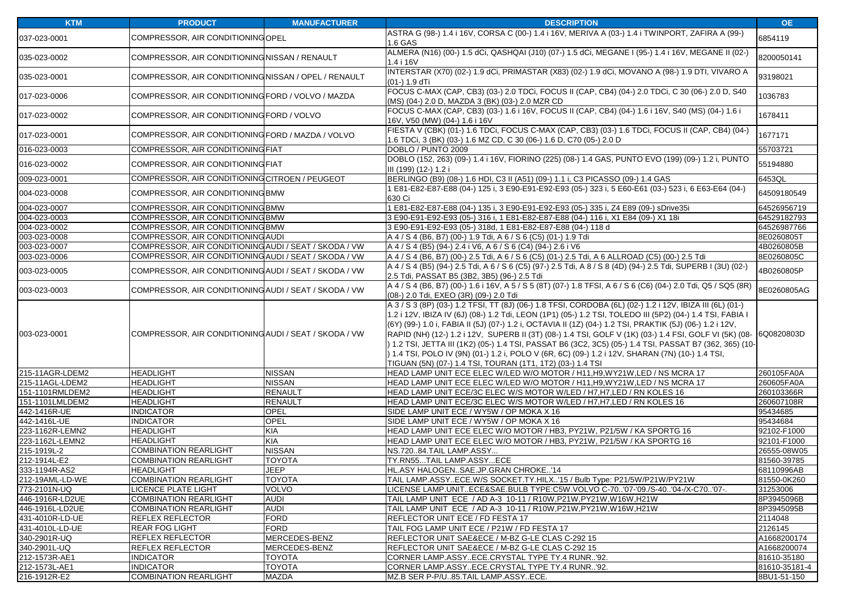| <b>KTM</b>      | <b>PRODUCT</b>                                        | <b>MANUFACTURER</b> | <b>DESCRIPTION</b>                                                                                                                                                                                                                                                                                                                                                                                                                                                                                                                                                                                                                                                                                                         | OE.           |
|-----------------|-------------------------------------------------------|---------------------|----------------------------------------------------------------------------------------------------------------------------------------------------------------------------------------------------------------------------------------------------------------------------------------------------------------------------------------------------------------------------------------------------------------------------------------------------------------------------------------------------------------------------------------------------------------------------------------------------------------------------------------------------------------------------------------------------------------------------|---------------|
| 037-023-0001    | COMPRESSOR, AIR CONDITIONING OPEL                     |                     | ASTRA G (98-) 1.4 i 16V, CORSA C (00-) 1.4 i 16V, MERIVA A (03-) 1.4 i TWINPORT, ZAFIRA A (99-)<br>1.6 GAS                                                                                                                                                                                                                                                                                                                                                                                                                                                                                                                                                                                                                 | 6854119       |
| 035-023-0002    | COMPRESSOR, AIR CONDITIONING NISSAN / RENAULT         |                     | ALMERA (N16) (00-) 1.5 dCi, QASHQAI (J10) (07-) 1.5 dCi, MEGANE I (95-) 1.4 i 16V, MEGANE II (02-)<br>1.4 i 16V                                                                                                                                                                                                                                                                                                                                                                                                                                                                                                                                                                                                            | 8200050141    |
| 035-023-0001    | COMPRESSOR, AIR CONDITIONING NISSAN / OPEL / RENAULT  |                     | INTERSTAR (X70) (02-) 1.9 dCi, PRIMASTAR (X83) (02-) 1.9 dCi, MOVANO A (98-) 1.9 DTI, VIVARO A<br>(01-) 1.9 dTi                                                                                                                                                                                                                                                                                                                                                                                                                                                                                                                                                                                                            | 93198021      |
| 017-023-0006    | COMPRESSOR, AIR CONDITIONING FORD / VOLVO / MAZDA     |                     | FOCUS C-MAX (CAP, CB3) (03-) 2.0 TDCi, FOCUS II (CAP, CB4) (04-) 2.0 TDCi, C 30 (06-) 2.0 D, S40<br>(MS) (04-) 2.0 D, MAZDA 3 (BK) (03-) 2.0 MZR CD                                                                                                                                                                                                                                                                                                                                                                                                                                                                                                                                                                        | 1036783       |
| 017-023-0002    | COMPRESSOR, AIR CONDITIONING FORD / VOLVO             |                     | FOCUS C-MAX (CAP, CB3) (03-) 1.6 i 16V, FOCUS II (CAP, CB4) (04-) 1.6 i 16V, S40 (MS) (04-) 1.6 i<br>16V, V50 (MW) (04-) 1.6 i 16V                                                                                                                                                                                                                                                                                                                                                                                                                                                                                                                                                                                         | 1678411       |
| 017-023-0001    | COMPRESSOR, AIR CONDITIONING FORD / MAZDA / VOLVO     |                     | FIESTA V (CBK) (01-) 1.6 TDCi, FOCUS C-MAX (CAP, CB3) (03-) 1.6 TDCi, FOCUS II (CAP, CB4) (04-)<br>1.6 TDCi, 3 (BK) (03-) 1.6 MZ CD, C 30 (06-) 1.6 D, C70 (05-) 2.0 D                                                                                                                                                                                                                                                                                                                                                                                                                                                                                                                                                     | 1677171       |
| 016-023-0003    | COMPRESSOR, AIR CONDITIONING FIAT                     |                     | DOBLO / PUNTO 2009                                                                                                                                                                                                                                                                                                                                                                                                                                                                                                                                                                                                                                                                                                         | 55703721      |
| 016-023-0002    | COMPRESSOR, AIR CONDITIONING FIAT                     |                     | DOBLO (152, 263) (09-) 1.4 i 16V, FIORINO (225) (08-) 1.4 GAS, PUNTO EVO (199) (09-) 1.2 i, PUNTO<br>III (199) (12-) 1.2 i                                                                                                                                                                                                                                                                                                                                                                                                                                                                                                                                                                                                 | 55194880      |
| 009-023-0001    | COMPRESSOR, AIR CONDITIONING CITROEN / PEUGEOT        |                     | BERLINGO (B9) (08-) 1.6 HDI, C3 II (A51) (09-) 1.1 i, C3 PICASSO (09-) 1.4 GAS                                                                                                                                                                                                                                                                                                                                                                                                                                                                                                                                                                                                                                             | 6453QL        |
| 004-023-0008    | COMPRESSOR, AIR CONDITIONING BMW                      |                     | E81-E82-E87-E88 (04-) 125 i, 3 E90-E91-E92-E93 (05-) 323 i, 5 E60-E61 (03-) 523 i, 6 E63-E64 (04-)<br>630 Ci                                                                                                                                                                                                                                                                                                                                                                                                                                                                                                                                                                                                               | 64509180549   |
| 004-023-0007    | COMPRESSOR, AIR CONDITIONING BMW                      |                     | 1 E81-E82-E87-E88 (04-) 135 i, 3 E90-E91-E92-E93 (05-) 335 i, Z4 E89 (09-) sDrive35i                                                                                                                                                                                                                                                                                                                                                                                                                                                                                                                                                                                                                                       | 64526956719   |
| 004-023-0003    | COMPRESSOR, AIR CONDITIONING BMW                      |                     | 3 E90-E91-E92-E93 (05-) 316 i, 1 E81-E82-E87-E88 (04-) 116 i, X1 E84 (09-) X1 18i                                                                                                                                                                                                                                                                                                                                                                                                                                                                                                                                                                                                                                          | 64529182793   |
| 004-023-0002    | COMPRESSOR, AIR CONDITIONING BMW                      |                     | 3 E90-E91-E92-E93 (05-) 318d, 1 E81-E82-E87-E88 (04-) 118 d                                                                                                                                                                                                                                                                                                                                                                                                                                                                                                                                                                                                                                                                | 64526987766   |
| 003-023-0008    | COMPRESSOR, AIR CONDITIONING AUDI                     |                     | A 4 / S 4 (B6, B7) (00-) 1.9 Tdi, A 6 / S 6 (C5) (01-) 1.9 Tdi                                                                                                                                                                                                                                                                                                                                                                                                                                                                                                                                                                                                                                                             | 8E0260805T    |
| 003-023-0007    | COMPRESSOR, AIR CONDITIONING AUDI / SEAT / SKODA / VW |                     | A 4 / S 4 (B5) (94-) 2.4 i V6, A 6 / S 6 (C4) (94-) 2.6 i V6                                                                                                                                                                                                                                                                                                                                                                                                                                                                                                                                                                                                                                                               | 4B0260805B    |
| 003-023-0006    | COMPRESSOR, AIR CONDITIONING AUDI / SEAT / SKODA / VW |                     | A 4 / S 4 (B6, B7) (00-) 2.5 Tdi, A 6 / S 6 (C5) (01-) 2.5 Tdi, A 6 ALLROAD (C5) (00-) 2.5 Tdi                                                                                                                                                                                                                                                                                                                                                                                                                                                                                                                                                                                                                             | 8E0260805C    |
| 003-023-0005    | COMPRESSOR, AIR CONDITIONING AUDI / SEAT / SKODA / VW |                     | A 4 / S 4 (B5) (94-) 2.5 Tdi, A 6 / S 6 (C5) (97-) 2.5 Tdi, A 8 / S 8 (4D) (94-) 2.5 Tdi, SUPERB I (3U) (02-)<br>2.5 Tdi, PASSAT B5 (3B2, 3B5) (96-) 2.5 Tdi                                                                                                                                                                                                                                                                                                                                                                                                                                                                                                                                                               | 4B0260805P    |
| 003-023-0003    | COMPRESSOR, AIR CONDITIONING AUDI / SEAT / SKODA / VW |                     | A 4 / S 4 (B6, B7) (00-) 1.6 i 16V, A 5 / S 5 (8T) (07-) 1.8 TFSI, A 6 / S 6 (C6) (04-) 2.0 Tdi, Q5 / SQ5 (8R)<br>(08-) 2.0 Tdi, EXEO (3R) (09-) 2.0 Tdi                                                                                                                                                                                                                                                                                                                                                                                                                                                                                                                                                                   | 8E0260805AG   |
| 003-023-0001    | COMPRESSOR, AIR CONDITIONING AUDI / SEAT / SKODA / VW |                     | A 3 / S 3 (8P) (03-) 1.2 TFSI, TT (8J) (06-) 1.8 TFSI, CORDOBA (6L) (02-) 1.2 i 12V, IBIZA III (6L) (01-)<br>1.2 i 12V, IBIZA IV (6J) (08-) 1.2 Tdi, LEON (1P1) (05-) 1.2 TSI, TOLEDO III (5P2) (04-) 1.4 TSI, FABIA I<br>(6Y) (99-) 1.0 i, FABIA II (5J) (07-) 1.2 i, OCTAVIA II (1Z) (04-) 1.2 TSI, PRAKTIK (5J) (06-) 1.2 i 12V,<br>RAPID (NH) (12-) 1.2 i 12V, SUPERB II (3T) (08-) 1.4 TSI, GOLF V (1K) (03-) 1.4 FSI, GOLF VI (5K) (08-<br>) 1.2 TSI, JETTA III (1K2) (05-) 1.4 TSI, PASSAT B6 (3C2, 3C5) (05-) 1.4 TSI, PASSAT B7 (362, 365) (10-<br>) 1.4 TSI, POLO IV (9N) (01-) 1.2 i, POLO V (6R, 6C) (09-) 1.2 i 12V, SHARAN (7N) (10-) 1.4 TSI,<br>TIGUAN (5N) (07-) 1.4 TSI, TOURAN (1T1, 1T2) (03-) 1.4 TSI | 6Q0820803D    |
| 215-11AGR-LDEM2 | <b>HEADLIGHT</b>                                      | <b>NISSAN</b>       | HEAD LAMP UNIT ECE ELEC W/LED W/O MOTOR / H11, H9, WY21W, LED / NS MCRA 17                                                                                                                                                                                                                                                                                                                                                                                                                                                                                                                                                                                                                                                 | 260105FA0A    |
| 215-11AGL-LDEM2 | <b>HEADLIGHT</b>                                      | <b>NISSAN</b>       | HEAD LAMP UNIT ECE ELEC W/LED W/O MOTOR / H11, H9, WY21W, LED / NS MCRA 17                                                                                                                                                                                                                                                                                                                                                                                                                                                                                                                                                                                                                                                 | 260605FA0A    |
| 151-1101RMLDEM2 | <b>HEADLIGHT</b>                                      | <b>RENAULT</b>      | HEAD LAMP UNIT ECE/3C ELEC W/S MOTOR W/LED / H7, H7, LED / RN KOLES 16                                                                                                                                                                                                                                                                                                                                                                                                                                                                                                                                                                                                                                                     | 260103366R    |
| 151-1101LMLDEM2 | <b>HEADLIGHT</b>                                      | <b>RENAULT</b>      | HEAD LAMP UNIT ECE/3C ELEC W/S MOTOR W/LED / H7, H7, LED / RN KOLES 16                                                                                                                                                                                                                                                                                                                                                                                                                                                                                                                                                                                                                                                     | 260607108R    |
| 442-1416R-UE    | <b>INDICATOR</b>                                      | OPEL                | SIDE LAMP UNIT ECE / WY5W / OP MOKA X 16                                                                                                                                                                                                                                                                                                                                                                                                                                                                                                                                                                                                                                                                                   | 95434685      |
| 442-1416L-UE    | <b>INDICATOR</b>                                      | <b>OPEL</b>         | SIDE LAMP UNIT ECE / WY5W / OP MOKA X 16                                                                                                                                                                                                                                                                                                                                                                                                                                                                                                                                                                                                                                                                                   | 95434684      |
| 223-1162R-LEMN2 | <b>HEADLIGHT</b>                                      | <b>KIA</b>          | HEAD LAMP UNIT ECE ELEC W/O MOTOR / HB3, PY21W, P21/5W / KA SPORTG 16                                                                                                                                                                                                                                                                                                                                                                                                                                                                                                                                                                                                                                                      | 92102-F1000   |
| 223-1162L-LEMN2 | <b>HEADLIGHT</b>                                      | <b>KIA</b>          | HEAD LAMP UNIT ECE ELEC W/O MOTOR / HB3, PY21W, P21/5W / KA SPORTG 16                                                                                                                                                                                                                                                                                                                                                                                                                                                                                                                                                                                                                                                      | 92101-F1000   |
| 215-1919L-2     | <b>COMBINATION REARLIGHT</b>                          | <b>NISSAN</b>       | NS.72084.TAIL LAMP.ASSY                                                                                                                                                                                                                                                                                                                                                                                                                                                                                                                                                                                                                                                                                                    | 26555-08W05   |
| 212-1914L-E2    | <b>COMBINATION REARLIGHT</b>                          | <b>TOYOTA</b>       | TY.RN55TAIL LAMP.ASSYECE                                                                                                                                                                                                                                                                                                                                                                                                                                                                                                                                                                                                                                                                                                   | 81560-39785   |
| 333-1194R-AS2   | <b>HEADLIGHT</b>                                      | <b>JEEP</b>         | HL.ASY HALOGENSAE.JP.GRAN CHROKE'14                                                                                                                                                                                                                                                                                                                                                                                                                                                                                                                                                                                                                                                                                        | 68110996AB    |
| 212-19AML-LD-WE | <b>COMBINATION REARLIGHT</b>                          | TOYOTA              | TAIL LAMP.ASSYECE.W/S SOCKET.TY.HILX'15 / Bulb Type: P21/5W/P21W/PY21W                                                                                                                                                                                                                                                                                                                                                                                                                                                                                                                                                                                                                                                     | 81550-0K260   |
| 773-2101N-UQ    | LICENCE PLATE LIGHT                                   | <b>VOLVO</b>        | LICENSE LAMP.UNITECE&SAE.BULB TYPE:C5W.VOLVO C-70'07-'09./S-40'04-/X-C70'07-.                                                                                                                                                                                                                                                                                                                                                                                                                                                                                                                                                                                                                                              | 31253006      |
| 446-1916R-LD2UE | <b>COMBINATION REARLIGHT</b>                          | <b>AUDI</b>         | TAIL LAMP UNIT ECE / AD A-3 10-11 / R10W, P21W, PY21W, W16W, H21W                                                                                                                                                                                                                                                                                                                                                                                                                                                                                                                                                                                                                                                          | 8P3945096B    |
| 446-1916L-LD2UE | <b>COMBINATION REARLIGHT</b>                          | <b>AUDI</b>         | TAIL LAMP UNIT ECE / AD A-3 10-11 / R10W, P21W, PY21W, W16W, H21W                                                                                                                                                                                                                                                                                                                                                                                                                                                                                                                                                                                                                                                          | 8P3945095B    |
| 431-4010R-LD-UE | REFLEX REFLECTOR                                      | <b>FORD</b>         | REFLECTOR UNIT ECE / FD FESTA 17                                                                                                                                                                                                                                                                                                                                                                                                                                                                                                                                                                                                                                                                                           | 2114048       |
| 431-4010L-LD-UE | <b>REAR FOG LIGHT</b>                                 | <b>FORD</b>         | TAIL FOG LAMP UNIT ECE / P21W / FD FESTA 17                                                                                                                                                                                                                                                                                                                                                                                                                                                                                                                                                                                                                                                                                | 2126145       |
| 340-2901R-UQ    | REFLEX REFLECTOR                                      | MERCEDES-BENZ       | REFLECTOR UNIT SAE&ECE / M-BZ G-LE CLAS C-292 15                                                                                                                                                                                                                                                                                                                                                                                                                                                                                                                                                                                                                                                                           | A1668200174   |
| 340-2901L-UQ    | REFLEX REFLECTOR                                      | MERCEDES-BENZ       | REFLECTOR UNIT SAE&ECE / M-BZ G-LE CLAS C-292 15                                                                                                                                                                                                                                                                                                                                                                                                                                                                                                                                                                                                                                                                           | A1668200074   |
| 212-1573R-AE1   | <b>INDICATOR</b>                                      | <b>TOYOTA</b>       | CORNER LAMP.ASSYECE.CRYSTAL TYPE TY.4 RUNR'92.                                                                                                                                                                                                                                                                                                                                                                                                                                                                                                                                                                                                                                                                             | 81610-35180   |
| 212-1573L-AE1   | <b>INDICATOR</b>                                      | <b>TOYOTA</b>       | CORNER LAMP.ASSYECE.CRYSTAL TYPE TY.4 RUNR'92.                                                                                                                                                                                                                                                                                                                                                                                                                                                                                                                                                                                                                                                                             | 81610-35181-4 |
| 216-1912R-E2    | <b>COMBINATION REARLIGHT</b>                          | MAZDA               | MZ.B SER P-P/U85.TAIL LAMP.ASSYECE.                                                                                                                                                                                                                                                                                                                                                                                                                                                                                                                                                                                                                                                                                        | 8BU1-51-150   |